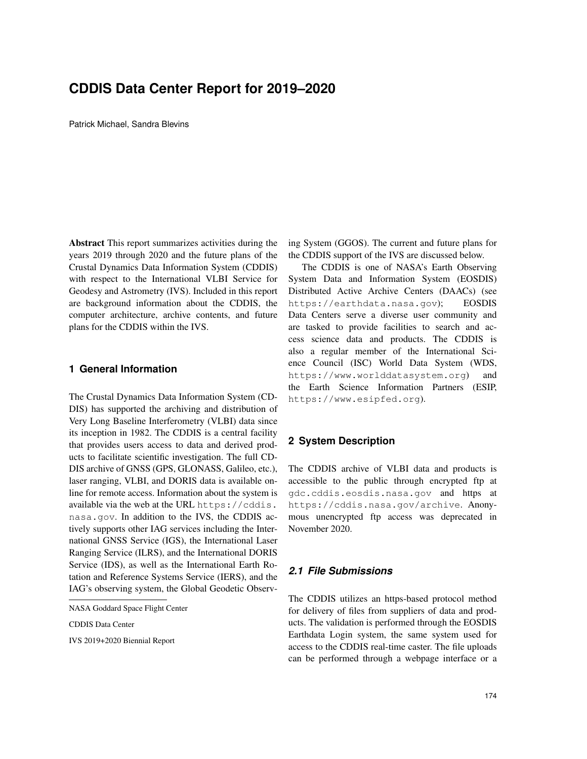# **CDDIS Data Center Report for 2019–2020**

Patrick Michael, Sandra Blevins

Abstract This report summarizes activities during the years 2019 through 2020 and the future plans of the Crustal Dynamics Data Information System (CDDIS) with respect to the International VLBI Service for Geodesy and Astrometry (IVS). Included in this report are background information about the CDDIS, the computer architecture, archive contents, and future plans for the CDDIS within the IVS.

### **1 General Information**

The Crustal Dynamics Data Information System (CD-DIS) has supported the archiving and distribution of Very Long Baseline Interferometry (VLBI) data since its inception in 1982. The CDDIS is a central facility that provides users access to data and derived products to facilitate scientific investigation. The full CD-DIS archive of GNSS (GPS, GLONASS, Galileo, etc.), laser ranging, VLBI, and DORIS data is available online for remote access. Information about the system is available via the web at the URL https://cddis. nasa.gov. In addition to the IVS, the CDDIS actively supports other IAG services including the International GNSS Service (IGS), the International Laser Ranging Service (ILRS), and the International DORIS Service (IDS), as well as the International Earth Rotation and Reference Systems Service (IERS), and the IAG's observing system, the Global Geodetic Observ-

CDDIS Data Center

IVS 2019+2020 Biennial Report

ing System (GGOS). The current and future plans for the CDDIS support of the IVS are discussed below.

The CDDIS is one of NASA's Earth Observing System Data and Information System (EOSDIS) Distributed Active Archive Centers (DAACs) (see https://earthdata.nasa.gov); EOSDIS Data Centers serve a diverse user community and are tasked to provide facilities to search and access science data and products. The CDDIS is also a regular member of the International Science Council (ISC) World Data System (WDS, https://www.worlddatasystem.org) and the Earth Science Information Partners (ESIP, https://www.esipfed.org).

# **2 System Description**

The CDDIS archive of VLBI data and products is accessible to the public through encrypted ftp at gdc.cddis.eosdis.nasa.gov and https at https://cddis.nasa.gov/archive. Anonymous unencrypted ftp access was deprecated in November 2020.

### *2.1 File Submissions*

The CDDIS utilizes an https-based protocol method for delivery of files from suppliers of data and products. The validation is performed through the EOSDIS Earthdata Login system, the same system used for access to the CDDIS real-time caster. The file uploads can be performed through a webpage interface or a

NASA Goddard Space Flight Center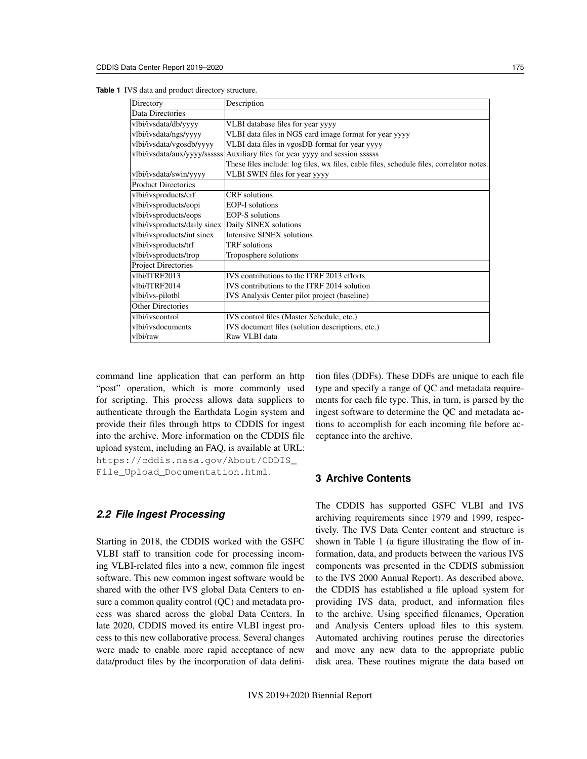|  |  |  |  |  | <b>Table 1</b> IVS data and product directory structure. |
|--|--|--|--|--|----------------------------------------------------------|
|--|--|--|--|--|----------------------------------------------------------|

| Directory                                          | Description                                                                              |  |  |
|----------------------------------------------------|------------------------------------------------------------------------------------------|--|--|
| Data Directories                                   |                                                                                          |  |  |
| vlbi/ivsdata/db/yyyy                               | VLBI database files for year yyyy                                                        |  |  |
| vlbi/ivsdata/ngs/yyyy                              | VLBI data files in NGS card image format for year yyyy                                   |  |  |
| vlbi/ivsdata/vgosdb/yyyy                           | VLBI data files in vgosDB format for year yyyy                                           |  |  |
|                                                    | vlbi/ivsdata/aux/yyyy/ssssss Auxiliary files for year yyyy and session ssssss            |  |  |
|                                                    | These files include: log files, wx files, cable files, schedule files, correlator notes. |  |  |
| vlbi/ivsdata/swin/yyyy                             | VLBI SWIN files for year yyyy                                                            |  |  |
| <b>Product Directories</b>                         |                                                                                          |  |  |
| vlbi/ivsproducts/crf                               | <b>CRF</b> solutions                                                                     |  |  |
| vlbi/ivsproducts/eopi                              | <b>EOP-I</b> solutions                                                                   |  |  |
| vlbi/ivsproducts/eops                              | <b>EOP-S</b> solutions                                                                   |  |  |
| vlbi/ivsproducts/daily sinex Daily SINEX solutions |                                                                                          |  |  |
| vlbi/ivsproducts/int sinex                         | Intensive SINEX solutions                                                                |  |  |
| vlbi/ivsproducts/trf                               | TRF solutions                                                                            |  |  |
| vlbi/ivsproducts/trop                              | Troposphere solutions                                                                    |  |  |
| <b>Project Directories</b>                         |                                                                                          |  |  |
| vlbi/ITRF2013                                      | IVS contributions to the ITRF 2013 efforts                                               |  |  |
| vlbi/ITRF2014                                      | IVS contributions to the ITRF 2014 solution                                              |  |  |
| vlbi/ivs-pilotbl                                   | IVS Analysis Center pilot project (baseline)                                             |  |  |
| Other Directories                                  |                                                                                          |  |  |
| vlbi/ivscontrol                                    | IVS control files (Master Schedule, etc.)                                                |  |  |
| vlbi/ivsdocuments                                  | IVS document files (solution descriptions, etc.)                                         |  |  |
| vlbi/raw                                           | Raw VLBI data                                                                            |  |  |

command line application that can perform an http "post" operation, which is more commonly used for scripting. This process allows data suppliers to authenticate through the Earthdata Login system and provide their files through https to CDDIS for ingest into the archive. More information on the CDDIS file upload system, including an FAQ, is available at URL: https://cddis.nasa.gov/About/CDDIS\_ File\_Upload\_Documentation.html.

#### *2.2 File Ingest Processing*

Starting in 2018, the CDDIS worked with the GSFC VLBI staff to transition code for processing incoming VLBI-related files into a new, common file ingest software. This new common ingest software would be shared with the other IVS global Data Centers to ensure a common quality control (QC) and metadata process was shared across the global Data Centers. In late 2020, CDDIS moved its entire VLBI ingest process to this new collaborative process. Several changes were made to enable more rapid acceptance of new data/product files by the incorporation of data definition files (DDFs). These DDFs are unique to each file type and specify a range of QC and metadata requirements for each file type. This, in turn, is parsed by the ingest software to determine the QC and metadata actions to accomplish for each incoming file before acceptance into the archive.

## **3 Archive Contents**

The CDDIS has supported GSFC VLBI and IVS archiving requirements since 1979 and 1999, respectively. The IVS Data Center content and structure is shown in Table 1 (a figure illustrating the flow of information, data, and products between the various IVS components was presented in the CDDIS submission to the IVS 2000 Annual Report). As described above, the CDDIS has established a file upload system for providing IVS data, product, and information files to the archive. Using specified filenames, Operation and Analysis Centers upload files to this system. Automated archiving routines peruse the directories and move any new data to the appropriate public disk area. These routines migrate the data based on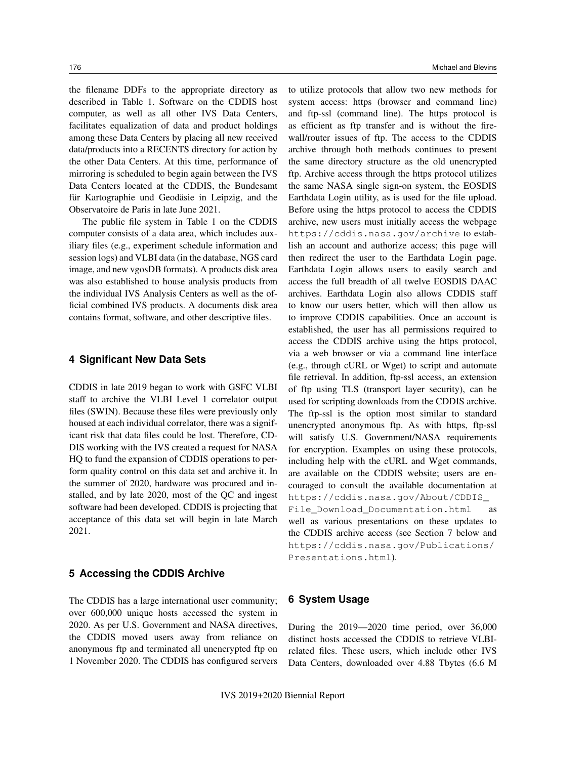the filename DDFs to the appropriate directory as described in Table 1. Software on the CDDIS host computer, as well as all other IVS Data Centers, facilitates equalization of data and product holdings among these Data Centers by placing all new received data/products into a RECENTS directory for action by the other Data Centers. At this time, performance of mirroring is scheduled to begin again between the IVS Data Centers located at the CDDIS, the Bundesamt für Kartographie und Geodäsie in Leipzig, and the Observatoire de Paris in late June 2021.

The public file system in Table 1 on the CDDIS computer consists of a data area, which includes auxiliary files (e.g., experiment schedule information and session logs) and VLBI data (in the database, NGS card image, and new vgosDB formats). A products disk area was also established to house analysis products from the individual IVS Analysis Centers as well as the official combined IVS products. A documents disk area contains format, software, and other descriptive files.

#### **4 Significant New Data Sets**

CDDIS in late 2019 began to work with GSFC VLBI staff to archive the VLBI Level 1 correlator output files (SWIN). Because these files were previously only housed at each individual correlator, there was a significant risk that data files could be lost. Therefore, CD-DIS working with the IVS created a request for NASA HQ to fund the expansion of CDDIS operations to perform quality control on this data set and archive it. In the summer of 2020, hardware was procured and installed, and by late 2020, most of the QC and ingest software had been developed. CDDIS is projecting that acceptance of this data set will begin in late March 2021.

#### **5 Accessing the CDDIS Archive**

The CDDIS has a large international user community; over 600,000 unique hosts accessed the system in 2020. As per U.S. Government and NASA directives, the CDDIS moved users away from reliance on anonymous ftp and terminated all unencrypted ftp on 1 November 2020. The CDDIS has configured servers

to utilize protocols that allow two new methods for system access: https (browser and command line) and ftp-ssl (command line). The https protocol is as efficient as ftp transfer and is without the firewall/router issues of ftp. The access to the CDDIS archive through both methods continues to present the same directory structure as the old unencrypted ftp. Archive access through the https protocol utilizes the same NASA single sign-on system, the EOSDIS Earthdata Login utility, as is used for the file upload. Before using the https protocol to access the CDDIS archive, new users must initially access the webpage https://cddis.nasa.gov/archive to establish an account and authorize access; this page will then redirect the user to the Earthdata Login page. Earthdata Login allows users to easily search and access the full breadth of all twelve EOSDIS DAAC archives. Earthdata Login also allows CDDIS staff to know our users better, which will then allow us to improve CDDIS capabilities. Once an account is established, the user has all permissions required to access the CDDIS archive using the https protocol, via a web browser or via a command line interface (e.g., through cURL or Wget) to script and automate file retrieval. In addition, ftp-ssl access, an extension of ftp using TLS (transport layer security), can be used for scripting downloads from the CDDIS archive. The ftp-ssl is the option most similar to standard unencrypted anonymous ftp. As with https, ftp-ssl will satisfy U.S. Government/NASA requirements for encryption. Examples on using these protocols, including help with the cURL and Wget commands, are available on the CDDIS website; users are encouraged to consult the available documentation at https://cddis.nasa.gov/About/CDDIS\_ File\_Download\_Documentation.html as well as various presentations on these updates to the CDDIS archive access (see Section 7 below and https://cddis.nasa.gov/Publications/ Presentations.html).

## **6 System Usage**

During the 2019—2020 time period, over 36,000 distinct hosts accessed the CDDIS to retrieve VLBIrelated files. These users, which include other IVS Data Centers, downloaded over 4.88 Tbytes (6.6 M